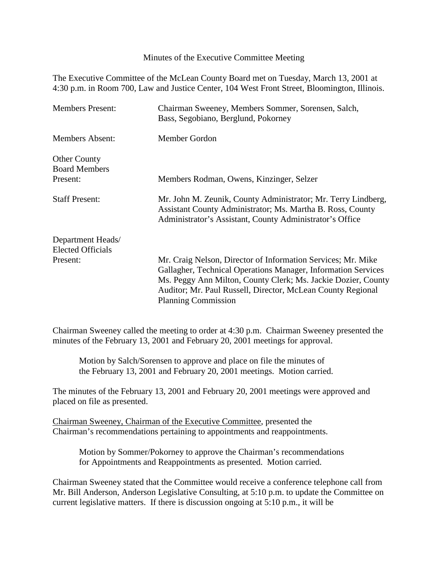Minutes of the Executive Committee Meeting

The Executive Committee of the McLean County Board met on Tuesday, March 13, 2001 at 4:30 p.m. in Room 700, Law and Justice Center, 104 West Front Street, Bloomington, Illinois.

| <b>Members Present:</b>                     | Chairman Sweeney, Members Sommer, Sorensen, Salch,<br>Bass, Segobiano, Berglund, Pokorney                                                                                               |
|---------------------------------------------|-----------------------------------------------------------------------------------------------------------------------------------------------------------------------------------------|
| <b>Members Absent:</b>                      | Member Gordon                                                                                                                                                                           |
| <b>Other County</b><br><b>Board Members</b> |                                                                                                                                                                                         |
| Present:                                    | Members Rodman, Owens, Kinzinger, Selzer                                                                                                                                                |
| <b>Staff Present:</b>                       | Mr. John M. Zeunik, County Administrator; Mr. Terry Lindberg,<br>Assistant County Administrator; Ms. Martha B. Ross, County<br>Administrator's Assistant, County Administrator's Office |
| Department Heads/                           |                                                                                                                                                                                         |
| <b>Elected Officials</b>                    |                                                                                                                                                                                         |
| Present:                                    | Mr. Craig Nelson, Director of Information Services; Mr. Mike                                                                                                                            |
|                                             | Gallagher, Technical Operations Manager, Information Services                                                                                                                           |
|                                             | Ms. Peggy Ann Milton, County Clerk; Ms. Jackie Dozier, County                                                                                                                           |
|                                             | Auditor; Mr. Paul Russell, Director, McLean County Regional                                                                                                                             |
|                                             | <b>Planning Commission</b>                                                                                                                                                              |

Chairman Sweeney called the meeting to order at 4:30 p.m. Chairman Sweeney presented the minutes of the February 13, 2001 and February 20, 2001 meetings for approval.

Motion by Salch/Sorensen to approve and place on file the minutes of the February 13, 2001 and February 20, 2001 meetings. Motion carried.

The minutes of the February 13, 2001 and February 20, 2001 meetings were approved and placed on file as presented.

Chairman Sweeney, Chairman of the Executive Committee, presented the Chairman's recommendations pertaining to appointments and reappointments.

Motion by Sommer/Pokorney to approve the Chairman's recommendations for Appointments and Reappointments as presented. Motion carried.

Chairman Sweeney stated that the Committee would receive a conference telephone call from Mr. Bill Anderson, Anderson Legislative Consulting, at 5:10 p.m. to update the Committee on current legislative matters. If there is discussion ongoing at 5:10 p.m., it will be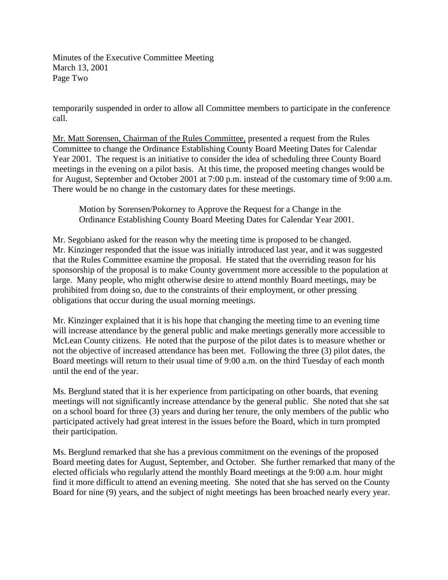Minutes of the Executive Committee Meeting March 13, 2001 Page Two

temporarily suspended in order to allow all Committee members to participate in the conference call.

Mr. Matt Sorensen, Chairman of the Rules Committee, presented a request from the Rules Committee to change the Ordinance Establishing County Board Meeting Dates for Calendar Year 2001. The request is an initiative to consider the idea of scheduling three County Board meetings in the evening on a pilot basis. At this time, the proposed meeting changes would be for August, September and October 2001 at 7:00 p.m. instead of the customary time of 9:00 a.m. There would be no change in the customary dates for these meetings.

Motion by Sorensen/Pokorney to Approve the Request for a Change in the Ordinance Establishing County Board Meeting Dates for Calendar Year 2001.

Mr. Segobiano asked for the reason why the meeting time is proposed to be changed. Mr. Kinzinger responded that the issue was initially introduced last year, and it was suggested that the Rules Committee examine the proposal. He stated that the overriding reason for his sponsorship of the proposal is to make County government more accessible to the population at large. Many people, who might otherwise desire to attend monthly Board meetings, may be prohibited from doing so, due to the constraints of their employment, or other pressing obligations that occur during the usual morning meetings.

Mr. Kinzinger explained that it is his hope that changing the meeting time to an evening time will increase attendance by the general public and make meetings generally more accessible to McLean County citizens. He noted that the purpose of the pilot dates is to measure whether or not the objective of increased attendance has been met. Following the three (3) pilot dates, the Board meetings will return to their usual time of 9:00 a.m. on the third Tuesday of each month until the end of the year.

Ms. Berglund stated that it is her experience from participating on other boards, that evening meetings will not significantly increase attendance by the general public. She noted that she sat on a school board for three (3) years and during her tenure, the only members of the public who participated actively had great interest in the issues before the Board, which in turn prompted their participation.

Ms. Berglund remarked that she has a previous commitment on the evenings of the proposed Board meeting dates for August, September, and October. She further remarked that many of the elected officials who regularly attend the monthly Board meetings at the 9:00 a.m. hour might find it more difficult to attend an evening meeting. She noted that she has served on the County Board for nine (9) years, and the subject of night meetings has been broached nearly every year.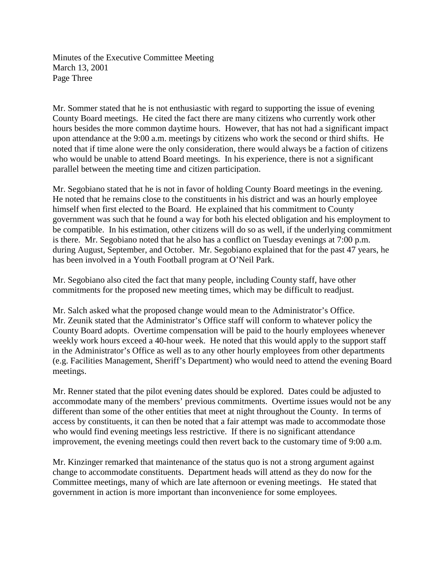Minutes of the Executive Committee Meeting March 13, 2001 Page Three

Mr. Sommer stated that he is not enthusiastic with regard to supporting the issue of evening County Board meetings. He cited the fact there are many citizens who currently work other hours besides the more common daytime hours. However, that has not had a significant impact upon attendance at the 9:00 a.m. meetings by citizens who work the second or third shifts. He noted that if time alone were the only consideration, there would always be a faction of citizens who would be unable to attend Board meetings. In his experience, there is not a significant parallel between the meeting time and citizen participation.

Mr. Segobiano stated that he is not in favor of holding County Board meetings in the evening. He noted that he remains close to the constituents in his district and was an hourly employee himself when first elected to the Board. He explained that his commitment to County government was such that he found a way for both his elected obligation and his employment to be compatible. In his estimation, other citizens will do so as well, if the underlying commitment is there. Mr. Segobiano noted that he also has a conflict on Tuesday evenings at 7:00 p.m. during August, September, and October. Mr. Segobiano explained that for the past 47 years, he has been involved in a Youth Football program at O'Neil Park.

Mr. Segobiano also cited the fact that many people, including County staff, have other commitments for the proposed new meeting times, which may be difficult to readjust.

Mr. Salch asked what the proposed change would mean to the Administrator's Office. Mr. Zeunik stated that the Administrator's Office staff will conform to whatever policy the County Board adopts. Overtime compensation will be paid to the hourly employees whenever weekly work hours exceed a 40-hour week. He noted that this would apply to the support staff in the Administrator's Office as well as to any other hourly employees from other departments (e.g. Facilities Management, Sheriff's Department) who would need to attend the evening Board meetings.

Mr. Renner stated that the pilot evening dates should be explored. Dates could be adjusted to accommodate many of the members' previous commitments. Overtime issues would not be any different than some of the other entities that meet at night throughout the County. In terms of access by constituents, it can then be noted that a fair attempt was made to accommodate those who would find evening meetings less restrictive. If there is no significant attendance improvement, the evening meetings could then revert back to the customary time of 9:00 a.m.

Mr. Kinzinger remarked that maintenance of the status quo is not a strong argument against change to accommodate constituents. Department heads will attend as they do now for the Committee meetings, many of which are late afternoon or evening meetings. He stated that government in action is more important than inconvenience for some employees.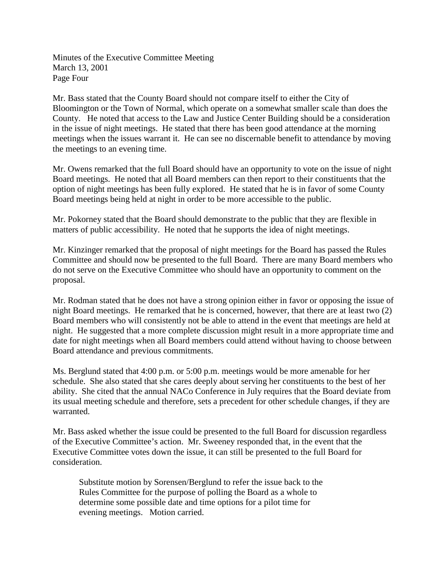Minutes of the Executive Committee Meeting March 13, 2001 Page Four

Mr. Bass stated that the County Board should not compare itself to either the City of Bloomington or the Town of Normal, which operate on a somewhat smaller scale than does the County. He noted that access to the Law and Justice Center Building should be a consideration in the issue of night meetings. He stated that there has been good attendance at the morning meetings when the issues warrant it. He can see no discernable benefit to attendance by moving the meetings to an evening time.

Mr. Owens remarked that the full Board should have an opportunity to vote on the issue of night Board meetings. He noted that all Board members can then report to their constituents that the option of night meetings has been fully explored. He stated that he is in favor of some County Board meetings being held at night in order to be more accessible to the public.

Mr. Pokorney stated that the Board should demonstrate to the public that they are flexible in matters of public accessibility. He noted that he supports the idea of night meetings.

Mr. Kinzinger remarked that the proposal of night meetings for the Board has passed the Rules Committee and should now be presented to the full Board. There are many Board members who do not serve on the Executive Committee who should have an opportunity to comment on the proposal.

Mr. Rodman stated that he does not have a strong opinion either in favor or opposing the issue of night Board meetings. He remarked that he is concerned, however, that there are at least two (2) Board members who will consistently not be able to attend in the event that meetings are held at night. He suggested that a more complete discussion might result in a more appropriate time and date for night meetings when all Board members could attend without having to choose between Board attendance and previous commitments.

Ms. Berglund stated that 4:00 p.m. or 5:00 p.m. meetings would be more amenable for her schedule. She also stated that she cares deeply about serving her constituents to the best of her ability. She cited that the annual NACo Conference in July requires that the Board deviate from its usual meeting schedule and therefore, sets a precedent for other schedule changes, if they are warranted.

Mr. Bass asked whether the issue could be presented to the full Board for discussion regardless of the Executive Committee's action. Mr. Sweeney responded that, in the event that the Executive Committee votes down the issue, it can still be presented to the full Board for consideration.

Substitute motion by Sorensen/Berglund to refer the issue back to the Rules Committee for the purpose of polling the Board as a whole to determine some possible date and time options for a pilot time for evening meetings. Motion carried.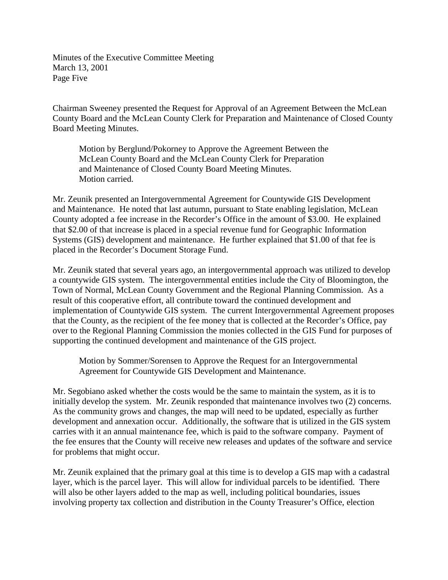Minutes of the Executive Committee Meeting March 13, 2001 Page Five

Chairman Sweeney presented the Request for Approval of an Agreement Between the McLean County Board and the McLean County Clerk for Preparation and Maintenance of Closed County Board Meeting Minutes.

Motion by Berglund/Pokorney to Approve the Agreement Between the McLean County Board and the McLean County Clerk for Preparation and Maintenance of Closed County Board Meeting Minutes. Motion carried.

Mr. Zeunik presented an Intergovernmental Agreement for Countywide GIS Development and Maintenance. He noted that last autumn, pursuant to State enabling legislation, McLean County adopted a fee increase in the Recorder's Office in the amount of \$3.00. He explained that \$2.00 of that increase is placed in a special revenue fund for Geographic Information Systems (GIS) development and maintenance. He further explained that \$1.00 of that fee is placed in the Recorder's Document Storage Fund.

Mr. Zeunik stated that several years ago, an intergovernmental approach was utilized to develop a countywide GIS system. The intergovernmental entities include the City of Bloomington, the Town of Normal, McLean County Government and the Regional Planning Commission. As a result of this cooperative effort, all contribute toward the continued development and implementation of Countywide GIS system. The current Intergovernmental Agreement proposes that the County, as the recipient of the fee money that is collected at the Recorder's Office, pay over to the Regional Planning Commission the monies collected in the GIS Fund for purposes of supporting the continued development and maintenance of the GIS project.

Motion by Sommer/Sorensen to Approve the Request for an Intergovernmental Agreement for Countywide GIS Development and Maintenance.

Mr. Segobiano asked whether the costs would be the same to maintain the system, as it is to initially develop the system. Mr. Zeunik responded that maintenance involves two (2) concerns. As the community grows and changes, the map will need to be updated, especially as further development and annexation occur. Additionally, the software that is utilized in the GIS system carries with it an annual maintenance fee, which is paid to the software company. Payment of the fee ensures that the County will receive new releases and updates of the software and service for problems that might occur.

Mr. Zeunik explained that the primary goal at this time is to develop a GIS map with a cadastral layer, which is the parcel layer. This will allow for individual parcels to be identified. There will also be other layers added to the map as well, including political boundaries, issues involving property tax collection and distribution in the County Treasurer's Office, election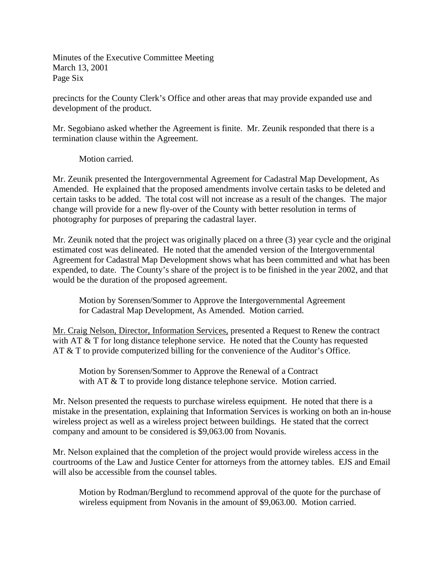Minutes of the Executive Committee Meeting March 13, 2001 Page Six

precincts for the County Clerk's Office and other areas that may provide expanded use and development of the product.

Mr. Segobiano asked whether the Agreement is finite. Mr. Zeunik responded that there is a termination clause within the Agreement.

Motion carried.

Mr. Zeunik presented the Intergovernmental Agreement for Cadastral Map Development, As Amended. He explained that the proposed amendments involve certain tasks to be deleted and certain tasks to be added. The total cost will not increase as a result of the changes. The major change will provide for a new fly-over of the County with better resolution in terms of photography for purposes of preparing the cadastral layer.

Mr. Zeunik noted that the project was originally placed on a three (3) year cycle and the original estimated cost was delineated. He noted that the amended version of the Intergovernmental Agreement for Cadastral Map Development shows what has been committed and what has been expended, to date. The County's share of the project is to be finished in the year 2002, and that would be the duration of the proposed agreement.

Motion by Sorensen/Sommer to Approve the Intergovernmental Agreement for Cadastral Map Development, As Amended. Motion carried.

Mr. Craig Nelson, Director, Information Services, presented a Request to Renew the contract with AT & T for long distance telephone service. He noted that the County has requested AT & T to provide computerized billing for the convenience of the Auditor's Office.

Motion by Sorensen/Sommer to Approve the Renewal of a Contract with AT & T to provide long distance telephone service. Motion carried.

Mr. Nelson presented the requests to purchase wireless equipment. He noted that there is a mistake in the presentation, explaining that Information Services is working on both an in-house wireless project as well as a wireless project between buildings. He stated that the correct company and amount to be considered is \$9,063.00 from Novanis.

Mr. Nelson explained that the completion of the project would provide wireless access in the courtrooms of the Law and Justice Center for attorneys from the attorney tables. EJS and Email will also be accessible from the counsel tables.

Motion by Rodman/Berglund to recommend approval of the quote for the purchase of wireless equipment from Novanis in the amount of \$9,063.00. Motion carried.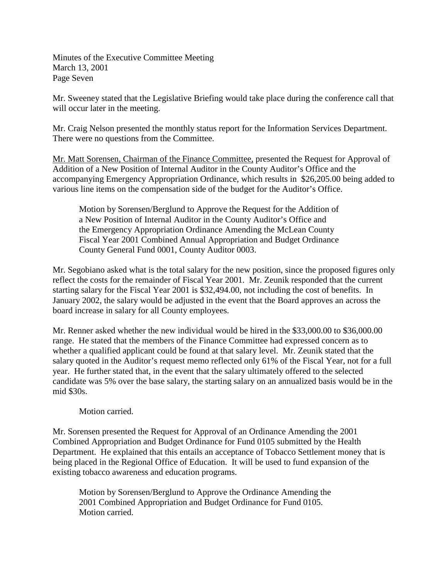Minutes of the Executive Committee Meeting March 13, 2001 Page Seven

Mr. Sweeney stated that the Legislative Briefing would take place during the conference call that will occur later in the meeting.

Mr. Craig Nelson presented the monthly status report for the Information Services Department. There were no questions from the Committee.

Mr. Matt Sorensen, Chairman of the Finance Committee, presented the Request for Approval of Addition of a New Position of Internal Auditor in the County Auditor's Office and the accompanying Emergency Appropriation Ordinance, which results in \$26,205.00 being added to various line items on the compensation side of the budget for the Auditor's Office.

Motion by Sorensen/Berglund to Approve the Request for the Addition of a New Position of Internal Auditor in the County Auditor's Office and the Emergency Appropriation Ordinance Amending the McLean County Fiscal Year 2001 Combined Annual Appropriation and Budget Ordinance County General Fund 0001, County Auditor 0003.

Mr. Segobiano asked what is the total salary for the new position, since the proposed figures only reflect the costs for the remainder of Fiscal Year 2001. Mr. Zeunik responded that the current starting salary for the Fiscal Year 2001 is \$32,494.00, not including the cost of benefits. In January 2002, the salary would be adjusted in the event that the Board approves an across the board increase in salary for all County employees.

Mr. Renner asked whether the new individual would be hired in the \$33,000.00 to \$36,000.00 range. He stated that the members of the Finance Committee had expressed concern as to whether a qualified applicant could be found at that salary level. Mr. Zeunik stated that the salary quoted in the Auditor's request memo reflected only 61% of the Fiscal Year, not for a full year. He further stated that, in the event that the salary ultimately offered to the selected candidate was 5% over the base salary, the starting salary on an annualized basis would be in the mid \$30s.

## Motion carried.

Mr. Sorensen presented the Request for Approval of an Ordinance Amending the 2001 Combined Appropriation and Budget Ordinance for Fund 0105 submitted by the Health Department. He explained that this entails an acceptance of Tobacco Settlement money that is being placed in the Regional Office of Education. It will be used to fund expansion of the existing tobacco awareness and education programs.

Motion by Sorensen/Berglund to Approve the Ordinance Amending the 2001 Combined Appropriation and Budget Ordinance for Fund 0105. Motion carried.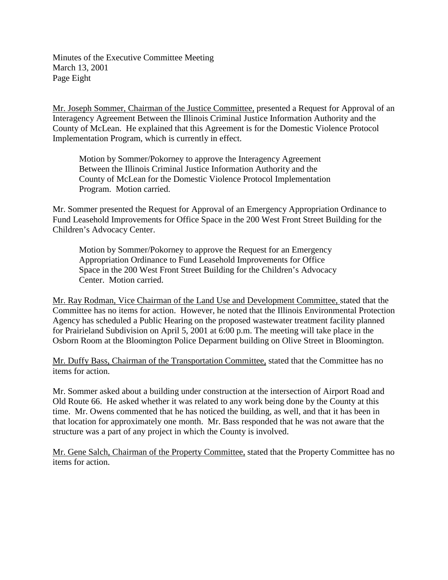Minutes of the Executive Committee Meeting March 13, 2001 Page Eight

Mr. Joseph Sommer, Chairman of the Justice Committee, presented a Request for Approval of an Interagency Agreement Between the Illinois Criminal Justice Information Authority and the County of McLean. He explained that this Agreement is for the Domestic Violence Protocol Implementation Program, which is currently in effect.

Motion by Sommer/Pokorney to approve the Interagency Agreement Between the Illinois Criminal Justice Information Authority and the County of McLean for the Domestic Violence Protocol Implementation Program. Motion carried.

Mr. Sommer presented the Request for Approval of an Emergency Appropriation Ordinance to Fund Leasehold Improvements for Office Space in the 200 West Front Street Building for the Children's Advocacy Center.

Motion by Sommer/Pokorney to approve the Request for an Emergency Appropriation Ordinance to Fund Leasehold Improvements for Office Space in the 200 West Front Street Building for the Children's Advocacy Center. Motion carried.

Mr. Ray Rodman, Vice Chairman of the Land Use and Development Committee, stated that the Committee has no items for action. However, he noted that the Illinois Environmental Protection Agency has scheduled a Public Hearing on the proposed wastewater treatment facility planned for Prairieland Subdivision on April 5, 2001 at 6:00 p.m. The meeting will take place in the Osborn Room at the Bloomington Police Deparment building on Olive Street in Bloomington.

Mr. Duffy Bass, Chairman of the Transportation Committee, stated that the Committee has no items for action.

Mr. Sommer asked about a building under construction at the intersection of Airport Road and Old Route 66. He asked whether it was related to any work being done by the County at this time. Mr. Owens commented that he has noticed the building, as well, and that it has been in that location for approximately one month. Mr. Bass responded that he was not aware that the structure was a part of any project in which the County is involved.

Mr. Gene Salch, Chairman of the Property Committee, stated that the Property Committee has no items for action.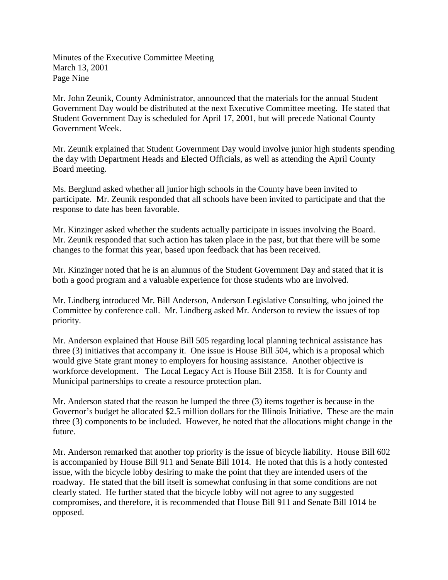Minutes of the Executive Committee Meeting March 13, 2001 Page Nine

Mr. John Zeunik, County Administrator, announced that the materials for the annual Student Government Day would be distributed at the next Executive Committee meeting. He stated that Student Government Day is scheduled for April 17, 2001, but will precede National County Government Week.

Mr. Zeunik explained that Student Government Day would involve junior high students spending the day with Department Heads and Elected Officials, as well as attending the April County Board meeting.

Ms. Berglund asked whether all junior high schools in the County have been invited to participate. Mr. Zeunik responded that all schools have been invited to participate and that the response to date has been favorable.

Mr. Kinzinger asked whether the students actually participate in issues involving the Board. Mr. Zeunik responded that such action has taken place in the past, but that there will be some changes to the format this year, based upon feedback that has been received.

Mr. Kinzinger noted that he is an alumnus of the Student Government Day and stated that it is both a good program and a valuable experience for those students who are involved.

Mr. Lindberg introduced Mr. Bill Anderson, Anderson Legislative Consulting, who joined the Committee by conference call. Mr. Lindberg asked Mr. Anderson to review the issues of top priority.

Mr. Anderson explained that House Bill 505 regarding local planning technical assistance has three (3) initiatives that accompany it. One issue is House Bill 504, which is a proposal which would give State grant money to employers for housing assistance. Another objective is workforce development. The Local Legacy Act is House Bill 2358. It is for County and Municipal partnerships to create a resource protection plan.

Mr. Anderson stated that the reason he lumped the three (3) items together is because in the Governor's budget he allocated \$2.5 million dollars for the Illinois Initiative. These are the main three (3) components to be included. However, he noted that the allocations might change in the future.

Mr. Anderson remarked that another top priority is the issue of bicycle liability. House Bill 602 is accompanied by House Bill 911 and Senate Bill 1014. He noted that this is a hotly contested issue, with the bicycle lobby desiring to make the point that they are intended users of the roadway. He stated that the bill itself is somewhat confusing in that some conditions are not clearly stated. He further stated that the bicycle lobby will not agree to any suggested compromises, and therefore, it is recommended that House Bill 911 and Senate Bill 1014 be opposed.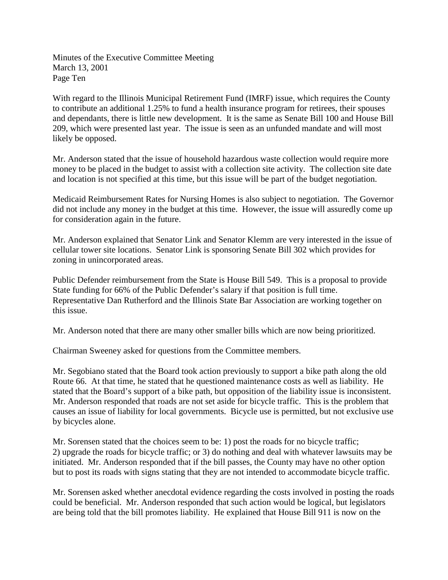Minutes of the Executive Committee Meeting March 13, 2001 Page Ten

With regard to the Illinois Municipal Retirement Fund (IMRF) issue, which requires the County to contribute an additional 1.25% to fund a health insurance program for retirees, their spouses and dependants, there is little new development. It is the same as Senate Bill 100 and House Bill 209, which were presented last year. The issue is seen as an unfunded mandate and will most likely be opposed.

Mr. Anderson stated that the issue of household hazardous waste collection would require more money to be placed in the budget to assist with a collection site activity. The collection site date and location is not specified at this time, but this issue will be part of the budget negotiation.

Medicaid Reimbursement Rates for Nursing Homes is also subject to negotiation. The Governor did not include any money in the budget at this time. However, the issue will assuredly come up for consideration again in the future.

Mr. Anderson explained that Senator Link and Senator Klemm are very interested in the issue of cellular tower site locations. Senator Link is sponsoring Senate Bill 302 which provides for zoning in unincorporated areas.

Public Defender reimbursement from the State is House Bill 549. This is a proposal to provide State funding for 66% of the Public Defender's salary if that position is full time. Representative Dan Rutherford and the Illinois State Bar Association are working together on this issue.

Mr. Anderson noted that there are many other smaller bills which are now being prioritized.

Chairman Sweeney asked for questions from the Committee members.

Mr. Segobiano stated that the Board took action previously to support a bike path along the old Route 66. At that time, he stated that he questioned maintenance costs as well as liability. He stated that the Board's support of a bike path, but opposition of the liability issue is inconsistent. Mr. Anderson responded that roads are not set aside for bicycle traffic. This is the problem that causes an issue of liability for local governments. Bicycle use is permitted, but not exclusive use by bicycles alone.

Mr. Sorensen stated that the choices seem to be: 1) post the roads for no bicycle traffic; 2) upgrade the roads for bicycle traffic; or 3) do nothing and deal with whatever lawsuits may be initiated. Mr. Anderson responded that if the bill passes, the County may have no other option but to post its roads with signs stating that they are not intended to accommodate bicycle traffic.

Mr. Sorensen asked whether anecdotal evidence regarding the costs involved in posting the roads could be beneficial. Mr. Anderson responded that such action would be logical, but legislators are being told that the bill promotes liability. He explained that House Bill 911 is now on the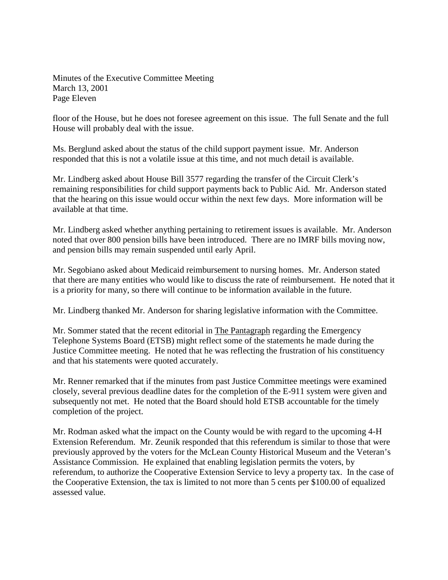Minutes of the Executive Committee Meeting March 13, 2001 Page Eleven

floor of the House, but he does not foresee agreement on this issue. The full Senate and the full House will probably deal with the issue.

Ms. Berglund asked about the status of the child support payment issue. Mr. Anderson responded that this is not a volatile issue at this time, and not much detail is available.

Mr. Lindberg asked about House Bill 3577 regarding the transfer of the Circuit Clerk's remaining responsibilities for child support payments back to Public Aid. Mr. Anderson stated that the hearing on this issue would occur within the next few days. More information will be available at that time.

Mr. Lindberg asked whether anything pertaining to retirement issues is available. Mr. Anderson noted that over 800 pension bills have been introduced. There are no IMRF bills moving now, and pension bills may remain suspended until early April.

Mr. Segobiano asked about Medicaid reimbursement to nursing homes. Mr. Anderson stated that there are many entities who would like to discuss the rate of reimbursement. He noted that it is a priority for many, so there will continue to be information available in the future.

Mr. Lindberg thanked Mr. Anderson for sharing legislative information with the Committee.

Mr. Sommer stated that the recent editorial in The Pantagraph regarding the Emergency Telephone Systems Board (ETSB) might reflect some of the statements he made during the Justice Committee meeting. He noted that he was reflecting the frustration of his constituency and that his statements were quoted accurately.

Mr. Renner remarked that if the minutes from past Justice Committee meetings were examined closely, several previous deadline dates for the completion of the E-911 system were given and subsequently not met. He noted that the Board should hold ETSB accountable for the timely completion of the project.

Mr. Rodman asked what the impact on the County would be with regard to the upcoming 4-H Extension Referendum. Mr. Zeunik responded that this referendum is similar to those that were previously approved by the voters for the McLean County Historical Museum and the Veteran's Assistance Commission. He explained that enabling legislation permits the voters, by referendum, to authorize the Cooperative Extension Service to levy a property tax. In the case of the Cooperative Extension, the tax is limited to not more than 5 cents per \$100.00 of equalized assessed value.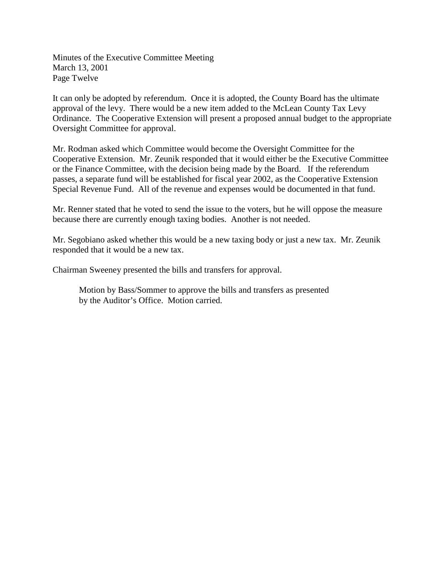Minutes of the Executive Committee Meeting March 13, 2001 Page Twelve

It can only be adopted by referendum. Once it is adopted, the County Board has the ultimate approval of the levy. There would be a new item added to the McLean County Tax Levy Ordinance. The Cooperative Extension will present a proposed annual budget to the appropriate Oversight Committee for approval.

Mr. Rodman asked which Committee would become the Oversight Committee for the Cooperative Extension. Mr. Zeunik responded that it would either be the Executive Committee or the Finance Committee, with the decision being made by the Board. If the referendum passes, a separate fund will be established for fiscal year 2002, as the Cooperative Extension Special Revenue Fund. All of the revenue and expenses would be documented in that fund.

Mr. Renner stated that he voted to send the issue to the voters, but he will oppose the measure because there are currently enough taxing bodies. Another is not needed.

Mr. Segobiano asked whether this would be a new taxing body or just a new tax. Mr. Zeunik responded that it would be a new tax.

Chairman Sweeney presented the bills and transfers for approval.

Motion by Bass/Sommer to approve the bills and transfers as presented by the Auditor's Office. Motion carried.